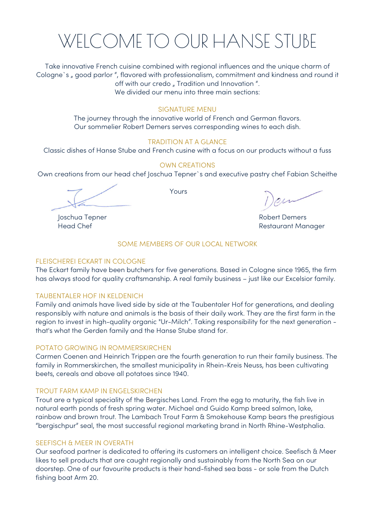

Take innovative French cuisine combined with regional influences and the unique charm of Cologne's " good parlor ", flavored with professionalism, commitment and kindness and round it off with our credo " Tradition und Innovation ". We divided our menu into three main sections:

#### SIGNATURE MENU

The journey through the innovative world of French and German flavors. Our sommelier Robert Demers serves corresponding wines to each dish.

#### TRADITION AT A GLANCE

Classic dishes of Hanse Stube and French cusine with a focus on our products without a fuss

#### OWN CREATIONS

Own creations from our head chef Joschua Tepner`s and executive pastry chef Fabian Scheithe

Yours

Joschua Tepner Robert Demers Head Chef **Restaurant Manager** 

#### SOME MEMBERS OF OUR LOCAL NETWORK

#### FLEISCHEREI ECKART IN COLOGNE

The Eckart family have been butchers for five generations. Based in Cologne since 1965, the firm has always stood for quality craftsmanship. A real family business – just like our Excelsior family.

#### TAUBENTALER HOF IN KELDENICH

Family and animals have lived side by side at the Taubentaler Hof for generations, and dealing responsibly with nature and animals is the basis of their daily work. They are the first farm in the region to invest in high-quality organic "Ur-Milch". Taking responsibility for the next generation that's what the Gerden family and the Hanse Stube stand for.

#### POTATO GROWING IN ROMMERSKIRCHEN

Carmen Coenen and Heinrich Trippen are the fourth generation to run their family business. The family in Rommerskirchen, the smallest municipality in Rhein-Kreis Neuss, has been cultivating beets, cereals and above all potatoes since 1940.

#### TROUT FARM KAMP IN ENGELSKIRCHEN

Trout are a typical speciality of the Bergisches Land. From the egg to maturity, the fish live in natural earth ponds of fresh spring water. Michael and Guido Kamp breed salmon, lake, rainbow and brown trout. The Lambach Trout Farm & Smokehouse Kamp bears the prestigious "bergischpur" seal, the most successful regional marketing brand in North Rhine-Westphalia.

#### SEEFISCH & MEER IN OVERATH

Our seafood partner is dedicated to offering its customers an intelligent choice. Seefisch & Meer likes to sell products that are caught regionally and sustainably from the North Sea on our doorstep. One of our favourite products is their hand-fished sea bass - or sole from the Dutch fishing boat Arm 20.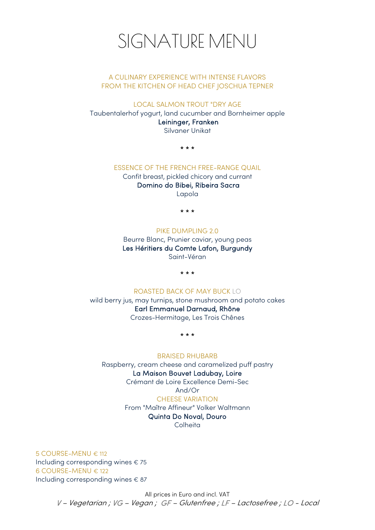

#### A CULINARY EXPERIENCE WITH INTENSE FLAVORS FROM THE KITCHEN OF HEAD CHEF JOSCHUA TEPNER

LOCAL SALMON TROUT "DRY AGE

Taubentalerhof yogurt, land cucumber and Bornheimer apple Leininger, Franken Silvaner Unikat

\* \* \*

#### ESSENCE OF THE FRENCH FREE-RANGE QUAIL

Confit breast, pickled chicory and currant Domino do Bibei, Ribeira Sacra Lapola

\* \* \*

#### PIKE DUMPLING 2.0

Beurre Blanc, Prunier caviar, young peas Les Héritiers du Comte Lafon, Burgundy Saint-Véran

\* \* \*

#### ROASTED BACK OF MAY BUCK LO

wild berry jus, may turnips, stone mushroom and potato cakes Earl Emmanuel Darnaud, Rhône Crozes-Hermitage, Les Trois Chênes

\* \* \*

#### BRAISED RHUBARB

Raspberry, cream cheese and caramelized puff pastry

#### La Maison Bouvet Ladubay, Loire

Crémant de Loire Excellence Demi-Sec

#### And/Or

#### CHEESE VARIATION

From "Maître Affineur" Volker Waltmann Quinta Do Noval, Douro **Colheita** 

5 COURSE-MENU € 112 Including corresponding wines € 75 6 COURSE-MENU € 122 Including corresponding wines € 87

> All prices in Euro and incl. VAT V – Vegetarian ; VG – Vegan ; GF – Glutenfree ; LF – Lactosefree ; LO - Local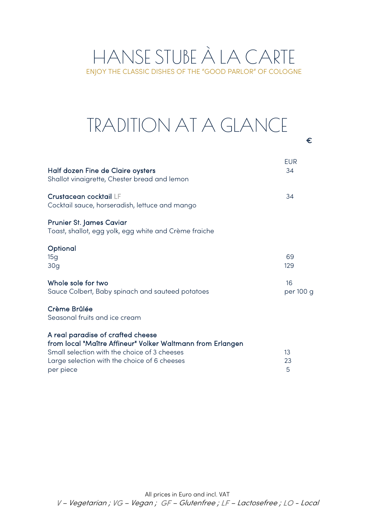### HANSE STUBE À LA CARTE ENJOY THE CLASSIC DISHES OF THE "GOOD PARLOR" OF COLOGNE

### $\epsilon$ TRADITION AT A GLANCE

| Half dozen Fine de Claire oysters<br>Shallot vinaigrette, Chester bread and lemon                                                                                                                            | EUR<br>34       |
|--------------------------------------------------------------------------------------------------------------------------------------------------------------------------------------------------------------|-----------------|
| Crustacean cocktail LF<br>Cocktail sauce, horseradish, lettuce and mango                                                                                                                                     | 34              |
| <b>Prunier St. James Caviar</b><br>Toast, shallot, egg yolk, egg white and Crème fraiche                                                                                                                     |                 |
| Optional<br>15g<br>30 <sub>q</sub>                                                                                                                                                                           | 69<br>129       |
| Whole sole for two<br>Sauce Colbert, Baby spinach and sauteed potatoes                                                                                                                                       | 16<br>per 100 g |
| Crème Brûlée<br>Seasonal fruits and ice cream                                                                                                                                                                |                 |
| A real paradise of crafted cheese<br>from local "Maître Affineur" Volker Waltmann from Erlangen<br>Small selection with the choice of 3 cheeses<br>Large selection with the choice of 6 cheeses<br>per piece | 13<br>23<br>5   |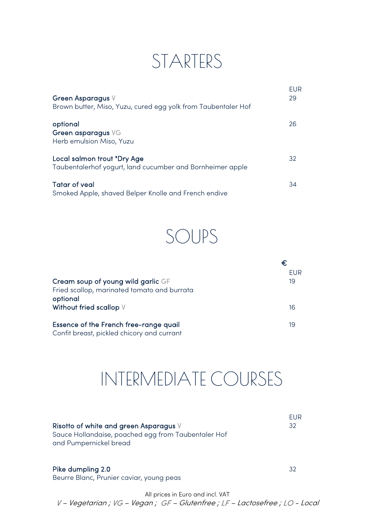### STARTERS

| Green Asparagus V<br>Brown butter, Miso, Yuzu, cured egg yolk from Taubentaler Hof       | <b>EUR</b><br>29 |
|------------------------------------------------------------------------------------------|------------------|
| optional<br>Green asparagus VG<br>Herb emulsion Miso, Yuzu                               | 26               |
| Local salmon trout "Dry Age<br>Taubentalerhof yogurt, land cucumber and Bornheimer apple | 32               |
| <b>Tatar of veal</b><br>Smoked Apple, shaved Belper Knolle and French endive             | 34               |

SOUPS

|                                             | FUR. |
|---------------------------------------------|------|
| Cream soup of young wild garlic GF          | 19   |
| Fried scallop, marinated tomato and burrata |      |
| optional                                    |      |
| Without fried scallop V                     | 16   |
| Essence of the French free-range quail      | 19   |
| Confit breast, pickled chicory and currant  |      |

## INTERMEDIATE COURSES

| Risotto of white and green Asparagus V<br>Sauce Hollandaise, poached egg from Taubentaler Hof<br>and Pumpernickel bread | FUR<br>32 |
|-------------------------------------------------------------------------------------------------------------------------|-----------|
| Pike dumpling 2.0                                                                                                       | 32        |

Beurre Blanc, Prunier caviar, young peas

All prices in Euro and incl. VAT V – Vegetarian ; VG – Vegan ; GF – Glutenfree ; LF – Lactosefree ; LO - Local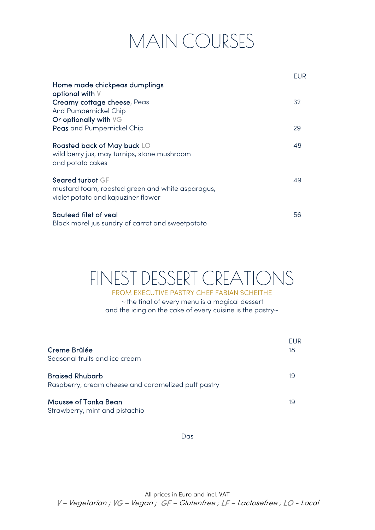# MAIN COURSES

|                                                                                                            | EUR |
|------------------------------------------------------------------------------------------------------------|-----|
| Home made chickpeas dumplings<br>optional with V                                                           |     |
| Creamy cottage cheese, Peas<br>And Pumpernickel Chip<br>Or optionally with VG                              | 32  |
| Peas and Pumpernickel Chip                                                                                 | 29  |
| Roasted back of May buck LO<br>wild berry jus, may turnips, stone mushroom<br>and potato cakes             | 48  |
| Seared turbot GF<br>mustard foam, roasted green and white asparagus,<br>violet potato and kapuziner flower | 49  |
| Sauteed filet of veal<br>Black morel jus sundry of carrot and sweetpotato                                  | 56  |

## FINEST DESSERT CREATIONS

FROM EXECUTIVE PASTRY CHEF FABIAN SCHEITHE <sup>~</sup>the final of every menu is a magical dessert and the icing on the cake of every cuisine is the pastry~

| Creme Brûlée<br>Seasonal fruits and ice cream                                 | FUR<br>18 |
|-------------------------------------------------------------------------------|-----------|
| <b>Braised Rhubarb</b><br>Raspberry, cream cheese and caramelized puff pastry | 19        |
| Mousse of Tonka Bean<br>Strawberry, mint and pistachio                        | 19        |

Das